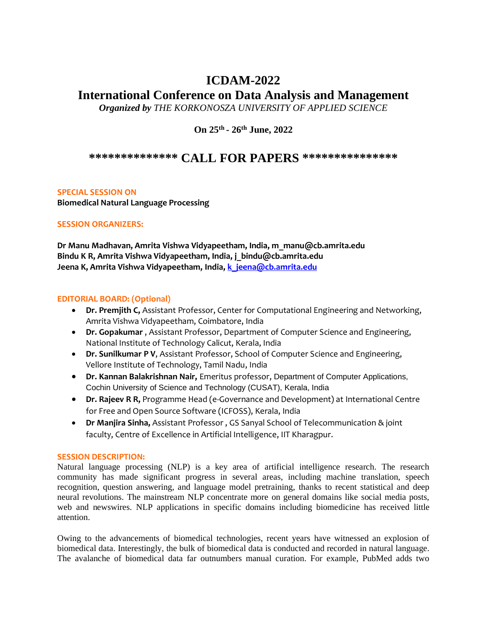## **ICDAM-2022**

# **International Conference on Data Analysis and Management**

*Organized by THE KORKONOSZA UNIVERSITY OF APPLIED SCIENCE* 

**On 25th - 26th June, 2022**

### **\*\*\*\*\*\*\*\*\*\*\*\*\*\* CALL FOR PAPERS \*\*\*\*\*\*\*\*\*\*\*\*\*\*\***

#### **SPECIAL SESSION ON**

**Biomedical Natural Language Processing**

#### **SESSION ORGANIZERS:**

**Dr Manu Madhavan, Amrita Vishwa Vidyapeetham, India, m\_manu@cb.amrita.edu Bindu K R, Amrita Vishwa Vidyapeetham, India, j\_bindu@cb.amrita.edu Jeena K, Amrita Vishwa Vidyapeetham, India, [k\\_jeena@cb.amrita.edu](mailto:k_jeena@cb.amrita.edu)**

#### **EDITORIAL BOARD: (Optional)**

- **Dr. Premjith C,** Assistant Professor, Center for Computational Engineering and Networking, Amrita Vishwa Vidyapeetham, Coimbatore, India
- **Dr. Gopakumar** , Assistant Professor, Department of Computer Science and Engineering, National Institute of Technology Calicut, Kerala, India
- **Dr. Sunilkumar P V**, Assistant Professor, School of Computer Science and Engineering, Vellore Institute of Technology, Tamil Nadu, India
- **Dr. Kannan Balakrishnan Nair,** Emeritus professor, Department of Computer Applications, Cochin University of Science and Technology (CUSAT), Kerala, India
- **Dr. Rajeev R R,** Programme Head (e-Governance and Development) at International Centre for Free and Open Source Software (ICFOSS), Kerala, India
- **Dr Manjira Sinha,** Assistant Professor , GS Sanyal School of Telecommunication & joint faculty, Centre of Excellence in Artificial Intelligence, IIT Kharagpur.

#### **SESSION DESCRIPTION:**

Natural language processing (NLP) is a key area of artificial intelligence research. The research community has made significant progress in several areas, including machine translation, speech recognition, question answering, and language model pretraining, thanks to recent statistical and deep neural revolutions. The mainstream NLP concentrate more on general domains like social media posts, web and newswires. NLP applications in specific domains including biomedicine has received little attention.

Owing to the advancements of biomedical technologies, recent years have witnessed an explosion of biomedical data. Interestingly, the bulk of biomedical data is conducted and recorded in natural language. The avalanche of biomedical data far outnumbers manual curation. For example, PubMed adds two